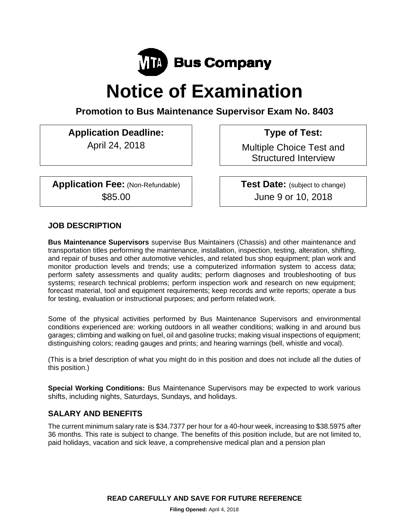

# **Notice of Examination**

**Promotion to Bus Maintenance Supervisor Exam No. 8403** 

**Application Deadline: Type of Test:** 

**Application Fee:** (Non-Refundable) **Test Date:** (subject to change)

April 24, 2018 **Multiple Choice Test and** Structured Interview

\$85.00 June 9 or 10, 2018

# **JOB DESCRIPTION**

**Bus Maintenance Supervisors** supervise Bus Maintainers (Chassis) and other maintenance and transportation titles performing the maintenance, installation, inspection, testing, alteration, shifting, and repair of buses and other automotive vehicles, and related bus shop equipment; plan work and monitor production levels and trends; use a computerized information system to access data; perform safety assessments and quality audits; perform diagnoses and troubleshooting of bus systems; research technical problems; perform inspection work and research on new equipment; forecast material, tool and equipment requirements; keep records and write reports; operate a bus for testing, evaluation or instructional purposes; and perform related work.

Some of the physical activities performed by Bus Maintenance Supervisors and environmental conditions experienced are: working outdoors in all weather conditions; walking in and around bus garages; climbing and walking on fuel, oil and gasoline trucks; making visual inspections of equipment; distinguishing colors; reading gauges and prints; and hearing warnings (bell, whistle and vocal).

(This is a brief description of what you might do in this position and does not include all the duties of this position.)

**Special Working Conditions:** Bus Maintenance Supervisors may be expected to work various shifts, including nights, Saturdays, Sundays, and holidays.

# **SALARY AND BENEFITS**

The current minimum salary rate is \$34.7377 per hour for a 40-hour week, increasing to \$38.5975 after 36 months. This rate is subject to change. The benefits of this position include, but are not limited to, paid holidays, vacation and sick leave, a comprehensive medical plan and a pension plan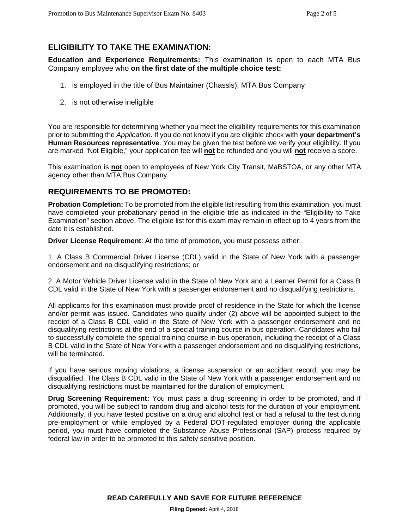# **ELIGIBILITY TO TAKE THE EXAMINATION:**

**Education and Experience Requirements:** This examination is open to each MTA Bus Company employee who **on the first date of the multiple choice test:**

- 1. is employed in the title of Bus Maintainer (Chassis), MTA Bus Company
- 2. is not otherwise ineligible

You are responsible for determining whether you meet the eligibility requirements for this examination prior to submitting the *Application*. If you do not know if you are eligible check with **your department's Human Resources representative**. You may be given the test before we verify your eligibility. If you are marked "Not Eligible," your application fee will **not** be refunded and you will **not** receive a score.

This examination is **not** open to employees of New York City Transit, MaBSTOA, or any other MTA agency other than MTA Bus Company.

## **REQUIREMENTS TO BE PROMOTED:**

**Probation Completion:** To be promoted from the eligible list resulting from this examination, you must have completed your probationary period in the eligible title as indicated in the "Eligibility to Take Examination" section above. The eligible list for this exam may remain in effect up to 4 years from the date it is established.

**Driver License Requirement**: At the time of promotion, you must possess either:

1. A Class B Commercial Driver License (CDL) valid in the State of New York with a passenger endorsement and no disqualifying restrictions; or

2. A Motor Vehicle Driver License valid in the State of New York and a Learner Permit for a Class B CDL valid in the State of New York with a passenger endorsement and no disqualifying restrictions.

All applicants for this examination must provide proof of residence in the State for which the license and/or permit was issued. Candidates who qualify under (2) above will be appointed subject to the receipt of a Class B CDL valid in the State of New York with a passenger endorsement and no disqualifying restrictions at the end of a special training course in bus operation. Candidates who fail to successfully complete the special training course in bus operation, including the receipt of a Class B CDL valid in the State of New York with a passenger endorsement and no disqualifying restrictions, will be terminated.

If you have serious moving violations, a license suspension or an accident record, you may be disqualified. The Class B CDL valid in the State of New York with a passenger endorsement and no disqualifying restrictions must be maintained for the duration of employment.

**Drug Screening Requirement:** You must pass a drug screening in order to be promoted, and if promoted, you will be subject to random drug and alcohol tests for the duration of your employment. Additionally, if you have tested positive on a drug and alcohol test or had a refusal to the test during pre-employment or while employed by a Federal DOT-regulated employer during the applicable period, you must have completed the Substance Abuse Professional (SAP) process required by federal law in order to be promoted to this safety sensitive position.

**READ CAREFULLY AND SAVE FOR FUTURE REFERENCE**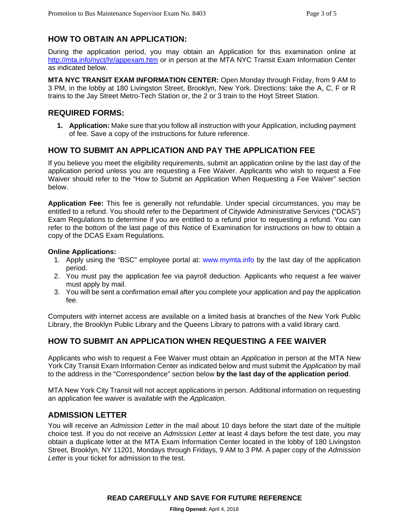# **HOW TO OBTAIN AN APPLICATION:**

During the application period, you may obtain an Application for this examination online at http://mta.info/nyct/hr/appexam.htm or in person at the MTA NYC Transit Exam Information Center as indicated below.

**MTA NYC TRANSIT EXAM INFORMATION CENTER:** Open Monday through Friday, from 9 AM to 3 PM, in the lobby at 180 Livingston Street, Brooklyn, New York. Directions: take the A, C, F or R trains to the Jay Street Metro-Tech Station or, the 2 or 3 train to the Hoyt Street Station.

### **REQUIRED FORMS:**

**1. Application:** Make sure that you follow all instruction with your Application, including payment of fee. Save a copy of the instructions for future reference.

# **HOW TO SUBMIT AN APPLICATION AND PAY THE APPLICATION FEE**

If you believe you meet the eligibility requirements, submit an application online by the last day of the application period unless you are requesting a Fee Waiver. Applicants who wish to request a Fee Waiver should refer to the "How to Submit an Application When Requesting a Fee Waiver" section below.

**Application Fee:** This fee is generally not refundable. Under special circumstances, you may be entitled to a refund. You should refer to the Department of Citywide Administrative Services ("DCAS") Exam Regulations to determine if you are entitled to a refund prior to requesting a refund. You can refer to the bottom of the last page of this Notice of Examination for instructions on how to obtain a copy of the DCAS Exam Regulations.

#### **Online Applications:**

- 1. Apply using the "BSC" employee portal at: www.mymta.info by the last day of the application period.
- 2. You must pay the application fee via payroll deduction. Applicants who request a fee waiver must apply by mail.
- 3. You will be sent a confirmation email after you complete your application and pay the application fee.

Computers with internet access are available on a limited basis at branches of the New York Public Library, the Brooklyn Public Library and the Queens Library to patrons with a valid library card.

### **HOW TO SUBMIT AN APPLICATION WHEN REQUESTING A FEE WAIVER**

Applicants who wish to request a Fee Waiver must obtain an *Application* in person at the MTA New York City Transit Exam Information Center as indicated below and must submit the *Application* by mail to the address in the "Correspondence" section below **by the last day of the application period**.

MTA New York City Transit will not accept applications in person. Additional information on requesting an application fee waiver is available with the *Applicatio*n.

### **ADMISSION LETTER**

You will receive an *Admission Letter* in the mail about 10 days before the start date of the multiple choice test. If you do not receive an *Admission Letter* at least 4 days before the test date, you may obtain a duplicate letter at the MTA Exam Information Center located in the lobby of 180 Livingston Street, Brooklyn, NY 11201, Mondays through Fridays, 9 AM to 3 PM. A paper copy of the *Admission Letter* is your ticket for admission to the test.

#### **READ CAREFULLY AND SAVE FOR FUTURE REFERENCE**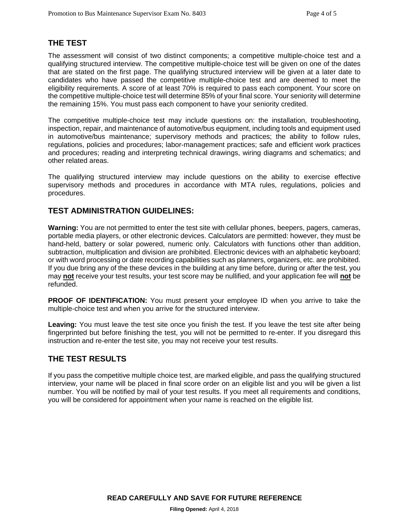### **THE TEST**

The assessment will consist of two distinct components; a competitive multiple-choice test and a qualifying structured interview. The competitive multiple-choice test will be given on one of the dates that are stated on the first page. The qualifying structured interview will be given at a later date to candidates who have passed the competitive multiple-choice test and are deemed to meet the eligibility requirements. A score of at least 70% is required to pass each component. Your score on the competitive multiple-choice test will determine 85% of your final score. Your seniority will determine the remaining 15%. You must pass each component to have your seniority credited.

The competitive multiple-choice test may include questions on: the installation, troubleshooting, inspection, repair, and maintenance of automotive/bus equipment, including tools and equipment used in automotive/bus maintenance; supervisory methods and practices; the ability to follow rules, regulations, policies and procedures; labor-management practices; safe and efficient work practices and procedures; reading and interpreting technical drawings, wiring diagrams and schematics; and other related areas.

The qualifying structured interview may include questions on the ability to exercise effective supervisory methods and procedures in accordance with MTA rules, regulations, policies and procedures.

## **TEST ADMINISTRATION GUIDELINES:**

**Warning:** You are not permitted to enter the test site with cellular phones, beepers, pagers, cameras, portable media players, or other electronic devices. Calculators are permitted: however, they must be hand-held, battery or solar powered, numeric only. Calculators with functions other than addition, subtraction, multiplication and division are prohibited. Electronic devices with an alphabetic keyboard; or with word processing or date recording capabilities such as planners, organizers, etc. are prohibited. If you due bring any of the these devices in the building at any time before, during or after the test, you may **not** receive your test results, your test score may be nullified, and your application fee will **not** be refunded.

**PROOF OF IDENTIFICATION:** You must present your employee ID when you arrive to take the multiple-choice test and when you arrive for the structured interview.

**Leaving:** You must leave the test site once you finish the test. If you leave the test site after being fingerprinted but before finishing the test, you will not be permitted to re-enter. If you disregard this instruction and re-enter the test site, you may not receive your test results.

### **THE TEST RESULTS**

If you pass the competitive multiple choice test, are marked eligible, and pass the qualifying structured interview, your name will be placed in final score order on an eligible list and you will be given a list number. You will be notified by mail of your test results. If you meet all requirements and conditions, you will be considered for appointment when your name is reached on the eligible list.

**READ CAREFULLY AND SAVE FOR FUTURE REFERENCE**